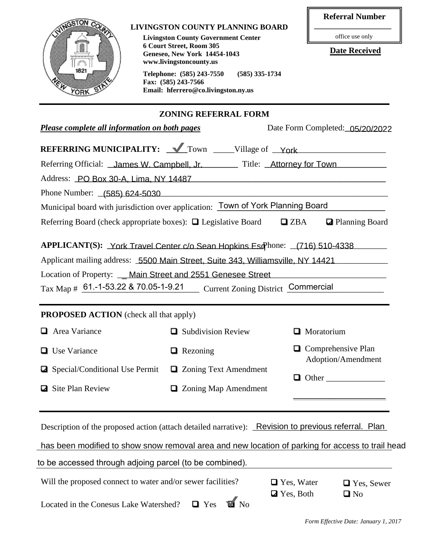|                                                                                  |                                                                                                                                                                           | <b>Referral Number</b>                   |  |  |  |
|----------------------------------------------------------------------------------|---------------------------------------------------------------------------------------------------------------------------------------------------------------------------|------------------------------------------|--|--|--|
| <b>VINGSTON CO</b>                                                               | <b>LIVINGSTON COUNTY PLANNING BOARD</b><br><b>Livingston County Government Center</b>                                                                                     | office use only                          |  |  |  |
|                                                                                  | 6 Court Street, Room 305<br>Geneseo, New York 14454-1043                                                                                                                  | <b>Date Received</b>                     |  |  |  |
| 1821                                                                             | www.livingstoncounty.us<br>Telephone: (585) 243-7550<br>$(585)$ 335-1734                                                                                                  |                                          |  |  |  |
| <b>YORK</b>                                                                      | Fax: (585) 243-7566<br>Email: hferrero@co.livingston.ny.us                                                                                                                |                                          |  |  |  |
|                                                                                  | <b>ZONING REFERRAL FORM</b>                                                                                                                                               |                                          |  |  |  |
| Please complete all information on both pages<br>Date Form Completed: 05/20/2022 |                                                                                                                                                                           |                                          |  |  |  |
|                                                                                  | <b>REFERRING MUNICIPALITY:</b> <u>V</u> Town _____Village of York __________________________                                                                              |                                          |  |  |  |
|                                                                                  | Referring Official: James W. Campbell, Jr. Title: Attorney for Town                                                                                                       |                                          |  |  |  |
|                                                                                  | Address: PO Box 30-A, Lima, NY 14487                                                                                                                                      |                                          |  |  |  |
|                                                                                  | Phone Number: (585) 624-5030                                                                                                                                              |                                          |  |  |  |
|                                                                                  | Municipal board with jurisdiction over application: Town of York Planning Board                                                                                           |                                          |  |  |  |
|                                                                                  | Referring Board (check appropriate boxes): $\Box$ Legislative Board $\Box$ ZBA                                                                                            | <b>Z</b> Planning Board                  |  |  |  |
|                                                                                  |                                                                                                                                                                           |                                          |  |  |  |
|                                                                                  | APPLICANT(S): York Travel Center c/o Sean Hopkins Esq <sup>phone:</sup> (716) 510-4338<br>Applicant mailing address: 5500 Main Street, Suite 343, Williamsville, NY 14421 |                                          |  |  |  |
|                                                                                  | Location of Property: __ Main Street and 2551 Genesee Street                                                                                                              |                                          |  |  |  |
|                                                                                  | Tax Map # 61.-1-53.22 & 70.05-1-9.21 Current Zoning District Commercial                                                                                                   |                                          |  |  |  |
|                                                                                  |                                                                                                                                                                           |                                          |  |  |  |
| <b>PROPOSED ACTION</b> (check all that apply)                                    |                                                                                                                                                                           |                                          |  |  |  |
| Area Variance                                                                    | Subdivision Review                                                                                                                                                        | Moratorium                               |  |  |  |
| <b>Use Variance</b>                                                              | $\Box$ Rezoning                                                                                                                                                           | Comprehensive Plan<br>Adoption/Amendment |  |  |  |
| Special/Conditional Use Permit                                                   | <b>□</b> Zoning Text Amendment                                                                                                                                            | $\Box$ Other                             |  |  |  |
| Site Plan Review                                                                 | $\Box$ Zoning Map Amendment                                                                                                                                               |                                          |  |  |  |
|                                                                                  |                                                                                                                                                                           |                                          |  |  |  |
|                                                                                  |                                                                                                                                                                           |                                          |  |  |  |
|                                                                                  | Description of the proposed action (attach detailed narrative): Revision to previous referral. Plan                                                                       |                                          |  |  |  |
|                                                                                  | has been modified to show snow removal area and new location of parking for access to trail head                                                                          |                                          |  |  |  |
| to be accessed through adjoing parcel (to be combined).                          |                                                                                                                                                                           |                                          |  |  |  |
| Will the proposed connect to water and/or sewer facilities?                      |                                                                                                                                                                           | $\Box$ Yes, Water<br>$\Box$ Yes, Sewer   |  |  |  |
| Located in the Conesus Lake Watershed?                                           | $\blacksquare$ No<br>$\blacksquare$ Yes                                                                                                                                   | <b>Z</b> Yes, Both<br>$\Box$ No          |  |  |  |